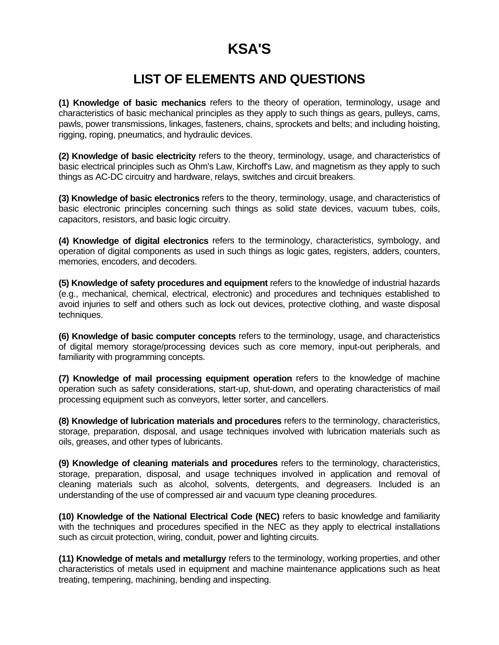# **KSA'S**

# **LIST OF ELEMENTS AND QUESTIONS**

**(1) Knowledge of basic mechanics** refers to the theory of operation, terminology, usage and characteristics of basic mechanical principles as they apply to such things as gears, pulleys, cams, pawls, power transmissions, linkages, fasteners, chains, sprockets and belts; and including hoisting, rigging, roping, pneumatics, and hydraulic devices.

**(2) Knowledge of basic electricity** refers to the theory, terminology, usage, and characteristics of basic electrical principles such as Ohm's Law, Kirchoff's Law, and magnetism as they apply to such things as AC-DC circuitry and hardware, relays, switches and circuit breakers.

**(3) Knowledge of basic electronics** refers to the theory, terminology, usage, and characteristics of basic electronic principles concerning such things as solid state devices, vacuum tubes, coils, capacitors, resistors, and basic logic circuitry.

**(4) Knowledge of digital electronics** refers to the terminology, characteristics, symbology, and operation of digital components as used in such things as logic gates, registers, adders, counters, memories, encoders, and decoders.

**(5) Knowledge of safety procedures and equipment** refers to the knowledge of industrial hazards (e.g., mechanical, chemical, electrical, electronic) and procedures and techniques established to avoid injuries to self and others such as lock out devices, protective clothing, and waste disposal techniques.

**(6) Knowledge of basic computer concepts** refers to the terminology, usage, and characteristics of digital memory storage/processing devices such as core memory, input-out peripherals, and familiarity with programming concepts.

**(7) Knowledge of mail processing equipment operation** refers to the knowledge of machine operation such as safety considerations, start-up, shut-down, and operating characteristics of mail processing equipment such as conveyors, letter sorter, and cancellers.

**(8) Knowledge of lubrication materials and procedures** refers to the terminology, characteristics, storage, preparation, disposal, and usage techniques involved with lubrication materials such as oils, greases, and other types of lubricants.

**(9) Knowledge of cleaning materials and procedures** refers to the terminology, characteristics, storage, preparation, disposal, and usage techniques involved in application and removal of cleaning materials such as alcohol, solvents, detergents, and degreasers. Included is an understanding of the use of compressed air and vacuum type cleaning procedures.

**(10) Knowledge of the National Electrical Code (NEC)** refers to basic knowledge and familiarity with the techniques and procedures specified in the NEC as they apply to electrical installations such as circuit protection, wiring, conduit, power and lighting circuits.

**(11) Knowledge of metals and metallurgy** refers to the terminology, working properties, and other characteristics of metals used in equipment and machine maintenance applications such as heat treating, tempering, machining, bending and inspecting.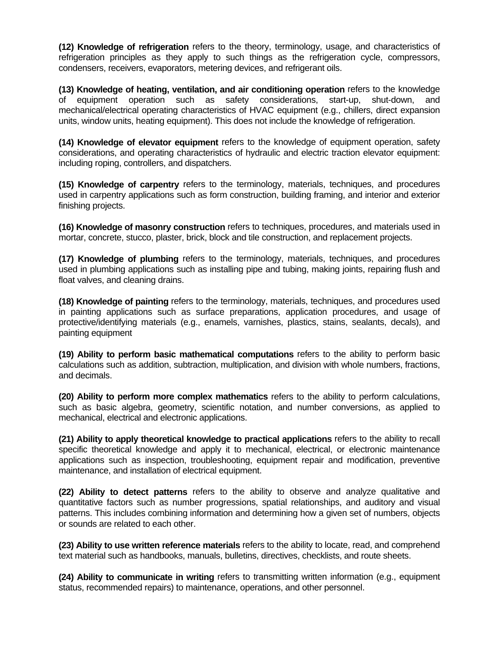**(12) Knowledge of refrigeration** refers to the theory, terminology, usage, and characteristics of refrigeration principles as they apply to such things as the refrigeration cycle, compressors, condensers, receivers, evaporators, metering devices, and refrigerant oils.

**(13) Knowledge of heating, ventilation, and air conditioning operation** refers to the knowledge of equipment operation such as safety considerations, start-up, shut-down, and mechanical/electrical operating characteristics of HVAC equipment (e.g., chillers, direct expansion units, window units, heating equipment). This does not include the knowledge of refrigeration.

**(14) Knowledge of elevator equipment** refers to the knowledge of equipment operation, safety considerations, and operating characteristics of hydraulic and electric traction elevator equipment: including roping, controllers, and dispatchers.

**(15) Knowledge of carpentry** refers to the terminology, materials, techniques, and procedures used in carpentry applications such as form construction, building framing, and interior and exterior finishing projects.

**(16) Knowledge of masonry construction** refers to techniques, procedures, and materials used in mortar, concrete, stucco, plaster, brick, block and tile construction, and replacement projects.

**(17) Knowledge of plumbing** refers to the terminology, materials, techniques, and procedures used in plumbing applications such as installing pipe and tubing, making joints, repairing flush and float valves, and cleaning drains.

**(18) Knowledge of painting** refers to the terminology, materials, techniques, and procedures used in painting applications such as surface preparations, application procedures, and usage of protective/identifying materials (e.g., enamels, varnishes, plastics, stains, sealants, decals), and painting equipment

**(19) Ability to perform basic mathematical computations** refers to the ability to perform basic calculations such as addition, subtraction, multiplication, and division with whole numbers, fractions, and decimals.

**(20) Ability to perform more complex mathematics** refers to the ability to perform calculations, such as basic algebra, geometry, scientific notation, and number conversions, as applied to mechanical, electrical and electronic applications.

**(21) Ability to apply theoretical knowledge to practical applications** refers to the ability to recall specific theoretical knowledge and apply it to mechanical, electrical, or electronic maintenance applications such as inspection, troubleshooting, equipment repair and modification, preventive maintenance, and installation of electrical equipment.

**(22) Ability to detect patterns** refers to the ability to observe and analyze qualitative and quantitative factors such as number progressions, spatial relationships, and auditory and visual patterns. This includes combining information and determining how a given set of numbers, objects or sounds are related to each other.

**(23) Ability to use written reference materials** refers to the ability to locate, read, and comprehend text material such as handbooks, manuals, bulletins, directives, checklists, and route sheets.

**(24) Ability to communicate in writing** refers to transmitting written information (e.g., equipment status, recommended repairs) to maintenance, operations, and other personnel.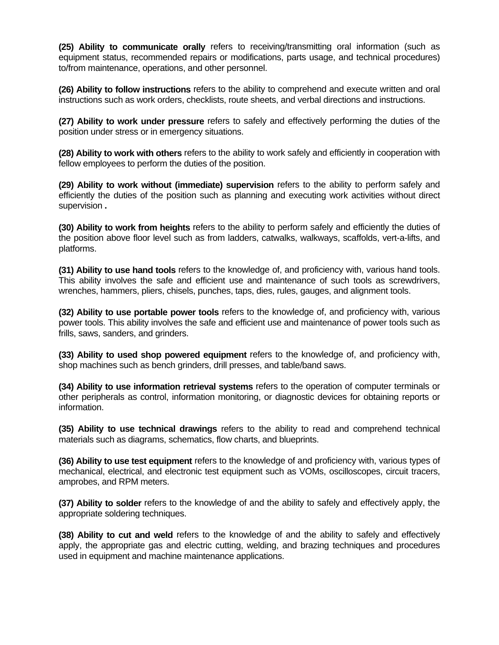**(25) Ability to communicate orally** refers to receiving/transmitting oral information (such as equipment status, recommended repairs or modifications, parts usage, and technical procedures) to/from maintenance, operations, and other personnel.

**(26) Ability to follow instructions** refers to the ability to comprehend and execute written and oral instructions such as work orders, checklists, route sheets, and verbal directions and instructions.

**(27) Ability to work under pressure** refers to safely and effectively performing the duties of the position under stress or in emergency situations.

**(28) Ability to work with others** refers to the ability to work safely and efficiently in cooperation with fellow employees to perform the duties of the position.

**(29) Ability to work without (immediate) supervision** refers to the ability to perform safely and efficiently the duties of the position such as planning and executing work activities without direct supervision **.**

**(30) Ability to work from heights** refers to the ability to perform safely and efficiently the duties of the position above floor level such as from ladders, catwalks, walkways, scaffolds, vert-a-lifts, and platforms.

**(31) Ability to use hand tools** refers to the knowledge of, and proficiency with, various hand tools. This ability involves the safe and efficient use and maintenance of such tools as screwdrivers, wrenches, hammers, pliers, chisels, punches, taps, dies, rules, gauges, and alignment tools.

**(32) Ability to use portable power tools** refers to the knowledge of, and proficiency with, various power tools. This ability involves the safe and efficient use and maintenance of power tools such as frills, saws, sanders, and grinders.

**(33) Ability to used shop powered equipment** refers to the knowledge of, and proficiency with, shop machines such as bench grinders, drill presses, and table/band saws.

**(34) Ability to use information retrieval systems** refers to the operation of computer terminals or other peripherals as control, information monitoring, or diagnostic devices for obtaining reports or information.

**(35) Ability to use technical drawings** refers to the ability to read and comprehend technical materials such as diagrams, schematics, flow charts, and blueprints.

**(36) Ability to use test equipment** refers to the knowledge of and proficiency with, various types of mechanical, electrical, and electronic test equipment such as VOMs, oscilloscopes, circuit tracers, amprobes, and RPM meters.

**(37) Ability to solder** refers to the knowledge of and the ability to safely and effectively apply, the appropriate soldering techniques.

**(38) Ability to cut and weld** refers to the knowledge of and the ability to safely and effectively apply, the appropriate gas and electric cutting, welding, and brazing techniques and procedures used in equipment and machine maintenance applications.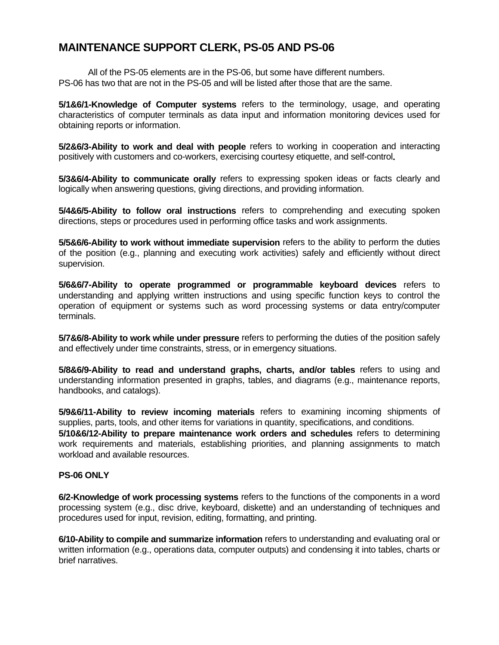# **MAINTENANCE SUPPORT CLERK, PS-05 AND PS-06**

All of the PS-05 elements are in the PS-06, but some have different numbers. PS-06 has two that are not in the PS-05 and will be listed after those that are the same.

**5/1&6/1-Knowledge of Computer systems** refers to the terminology, usage, and operating characteristics of computer terminals as data input and information monitoring devices used for obtaining reports or information.

**5/2&6/3-Ability to work and deal with people** refers to working in cooperation and interacting positively with customers and co-workers, exercising courtesy etiquette, and self-control**.**

**5/3&6/4-Ability to communicate orally** refers to expressing spoken ideas or facts clearly and logically when answering questions, giving directions, and providing information.

**5/4&6/5-Ability to follow oral instructions** refers to comprehending and executing spoken directions, steps or procedures used in performing office tasks and work assignments.

**5/5&6/6-Ability to work without immediate supervision** refers to the ability to perform the duties of the position (e.g., planning and executing work activities) safely and efficiently without direct supervision.

**5/6&6/7-Ability to operate programmed or programmable keyboard devices** refers to understanding and applying written instructions and using specific function keys to control the operation of equipment or systems such as word processing systems or data entry/computer terminals.

**5/7&6/8-Ability to work while under pressure** refers to performing the duties of the position safely and effectively under time constraints, stress, or in emergency situations.

**5/8&6/9-Ability to read and understand graphs, charts, and/or tables** refers to using and understanding information presented in graphs, tables, and diagrams (e.g., maintenance reports, handbooks, and catalogs).

**5/9&6/11-Ability to review incoming materials** refers to examining incoming shipments of supplies, parts, tools, and other items for variations in quantity, specifications, and conditions.

**5/10&6/12-Ability to prepare maintenance work orders and schedules** refers to determining work requirements and materials, establishing priorities, and planning assignments to match workload and available resources.

#### **PS-06 ONLY**

**6/2-Knowledge of work processing systems** refers to the functions of the components in a word processing system (e.g., disc drive, keyboard, diskette) and an understanding of techniques and procedures used for input, revision, editing, formatting, and printing.

**6/10-Ability to compile and summarize information** refers to understanding and evaluating oral or written information (e.g., operations data, computer outputs) and condensing it into tables, charts or brief narratives.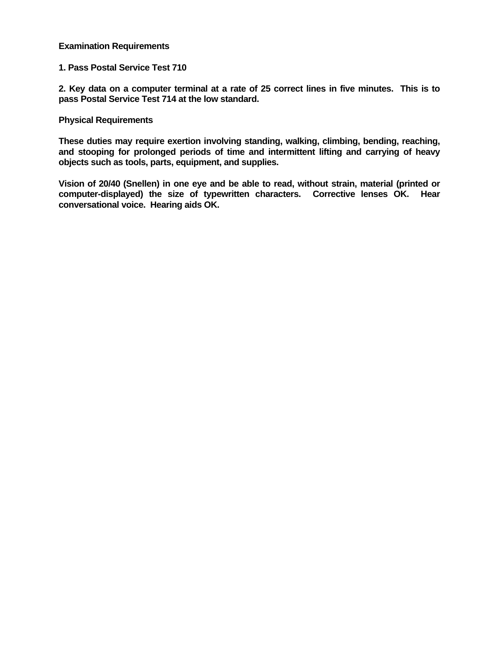#### **Examination Requirements**

#### **1. Pass Postal Service Test 710**

**2. Key data on a computer terminal at a rate of 25 correct lines in five minutes. This is to pass Postal Service Test 714 at the low standard.**

#### **Physical Requirements**

**These duties may require exertion involving standing, walking, climbing, bending, reaching, and stooping for prolonged periods of time and intermittent lifting and carrying of heavy objects such as tools, parts, equipment, and supplies.**

**Vision of 20/40 (Snellen) in one eye and be able to read, without strain, material (printed or computer-displayed) the size of typewritten characters. Corrective lenses OK. Hear conversational voice. Hearing aids OK.**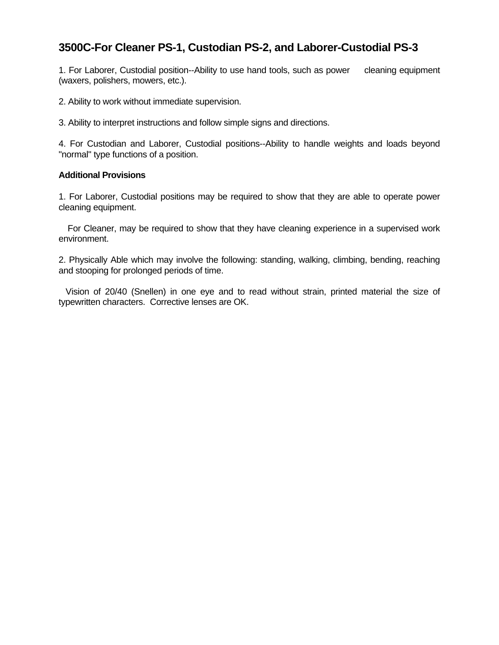# **3500C-For Cleaner PS-1, Custodian PS-2, and Laborer-Custodial PS-3**

1. For Laborer, Custodial position--Ability to use hand tools, such as power cleaning equipment (waxers, polishers, mowers, etc.).

2. Ability to work without immediate supervision.

3. Ability to interpret instructions and follow simple signs and directions.

4. For Custodian and Laborer, Custodial positions--Ability to handle weights and loads beyond "normal" type functions of a position.

#### **Additional Provisions**

1. For Laborer, Custodial positions may be required to show that they are able to operate power cleaning equipment.

 For Cleaner, may be required to show that they have cleaning experience in a supervised work environment.

2. Physically Able which may involve the following: standing, walking, climbing, bending, reaching and stooping for prolonged periods of time.

 Vision of 20/40 (Snellen) in one eye and to read without strain, printed material the size of typewritten characters. Corrective lenses are OK.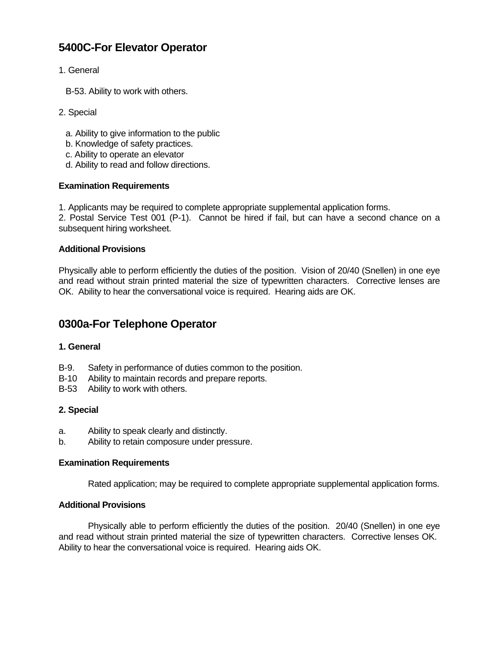# **5400C-For Elevator Operator**

- 1. General
	- B-53. Ability to work with others.
- 2. Special
	- a. Ability to give information to the public
	- b. Knowledge of safety practices.
	- c. Ability to operate an elevator
	- d. Ability to read and follow directions.

### **Examination Requirements**

1. Applicants may be required to complete appropriate supplemental application forms.

2. Postal Service Test 001 (P-1). Cannot be hired if fail, but can have a second chance on a subsequent hiring worksheet.

### **Additional Provisions**

Physically able to perform efficiently the duties of the position. Vision of 20/40 (Snellen) in one eye and read without strain printed material the size of typewritten characters. Corrective lenses are OK. Ability to hear the conversational voice is required. Hearing aids are OK.

## **0300a-For Telephone Operator**

### **1. General**

- B-9. Safety in performance of duties common to the position.
- B-10 Ability to maintain records and prepare reports.
- B-53 Ability to work with others.

### **2. Special**

- a. Ability to speak clearly and distinctly.
- b. Ability to retain composure under pressure.

### **Examination Requirements**

Rated application; may be required to complete appropriate supplemental application forms.

### **Additional Provisions**

Physically able to perform efficiently the duties of the position. 20/40 (Snellen) in one eye and read without strain printed material the size of typewritten characters. Corrective lenses OK. Ability to hear the conversational voice is required. Hearing aids OK.